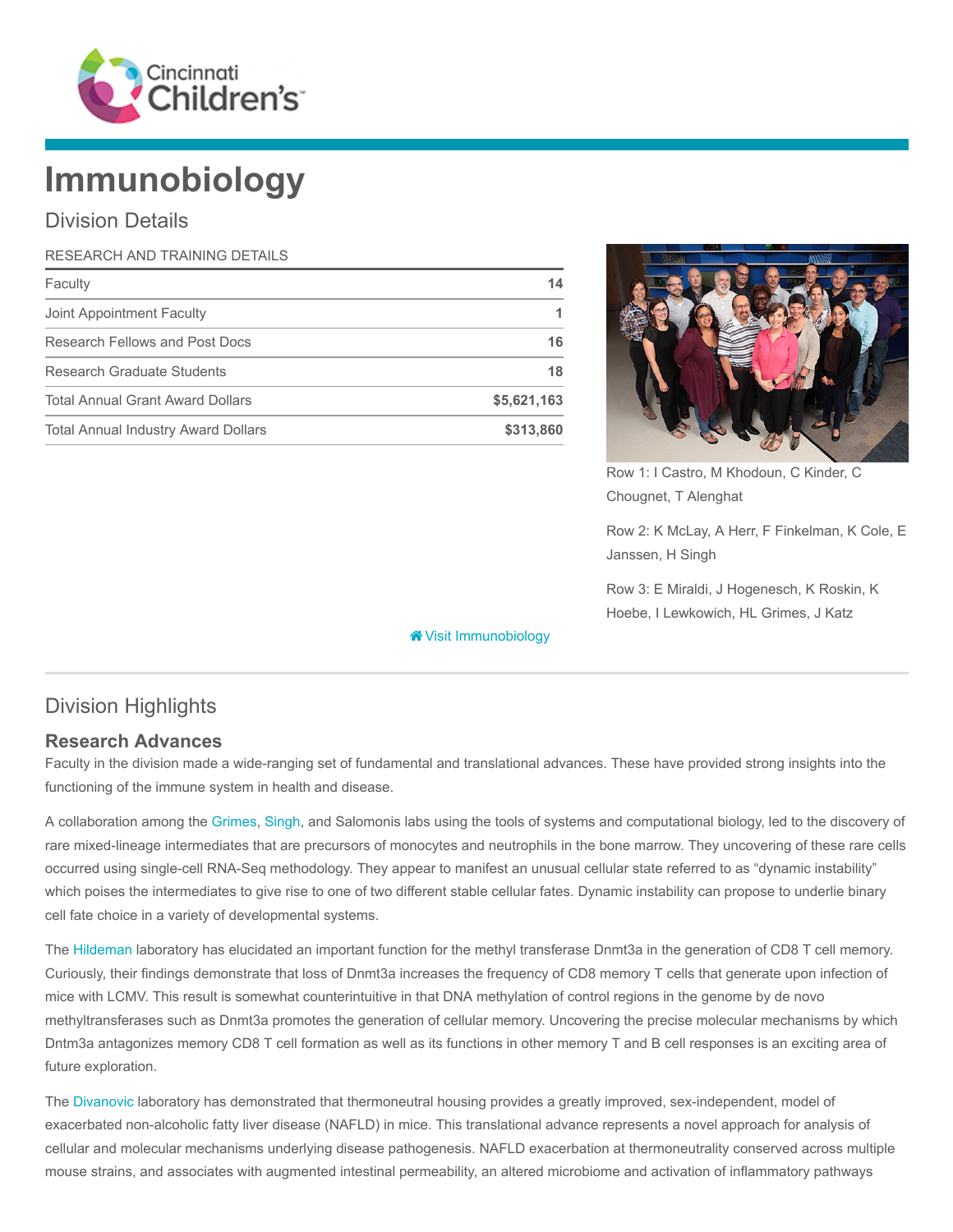

# Immunobiology

# Division Details

| RESEARCH AND TRAINING DETAILS              |             |
|--------------------------------------------|-------------|
| Faculty                                    | 14          |
| Joint Appointment Faculty                  |             |
| Research Fellows and Post Docs             | 16          |
| Research Graduate Students                 | 18          |
| <b>Total Annual Grant Award Dollars</b>    | \$5,621,163 |
| <b>Total Annual Industry Award Dollars</b> | \$313,860   |



Row 1: I Castro, M Khodoun, C Kinder, C Chougnet, T Alenghat

Row 2: K McLay, A Herr, F Finkelman, K Cole, E Janssen, H Singh

Row 3: E Miraldi, J Hogenesch, K Roskin, K Hoebe, I Lewkowich, HL Grimes, J Katz

# Division Highlights

#### Research Advances

Faculty in the division made a wide-ranging set of fundamental and translational advances. These have provided strong insights into the functioning of the immune system in health and disease.

[Visit Immunobiology](https://www.cincinnatichildrens.org/research/divisions/i/immunobiology)

A collaboration among the [Grimes](https://www.cincinnatichildrens.org/research/divisions/i/immunobiology/labs/grimes), [Singh](https://www.cincinnatichildrens.org/research/divisions/i/infectious/labs/singh), and Salomonis labs using the tools of systems and computational biology, led to the discovery of rare mixed-lineage intermediates that are precursors of monocytes and neutrophils in the bone marrow. They uncovering of these rare cells occurred using single-cell RNA-Seq methodology. They appear to manifest an unusual cellular state referred to as "dynamic instability" which poises the intermediates to give rise to one of two different stable cellular fates. Dynamic instability can propose to underlie binary cell fate choice in a variety of developmental systems.

The [Hildeman](https://www.cincinnatichildrens.org/research/divisions/i/immunobiology/labs/hildeman) laboratory has elucidated an important function for the methyl transferase Dnmt3a in the generation of CD8 T cell memory. Curiously, their findings demonstrate that loss of Dnmt3a increases the frequency of CD8 memory T cells that generate upon infection of mice with LCMV. This result is somewhat counterintuitive in that DNA methylation of control regions in the genome by de novo methyltransferases such as Dnmt3a promotes the generation of cellular memory. Uncovering the precise molecular mechanisms by which Dntm3a antagonizes memory CD8 T cell formation as well as its functions in other memory T and B cell responses is an exciting area of future exploration.

The [Divanovic](https://www.cincinnatichildrens.org/research/divisions/i/immunobiology/labs/divanovic) laboratory has demonstrated that thermoneutral housing provides a greatly improved, sex-independent, model of exacerbated non-alcoholic fatty liver disease (NAFLD) in mice. This translational advance represents a novel approach for analysis of cellular and molecular mechanisms underlying disease pathogenesis. NAFLD exacerbation at thermoneutrality conserved across multiple mouse strains, and associates with augmented intestinal permeability, an altered microbiome and activation of inflammatory pathways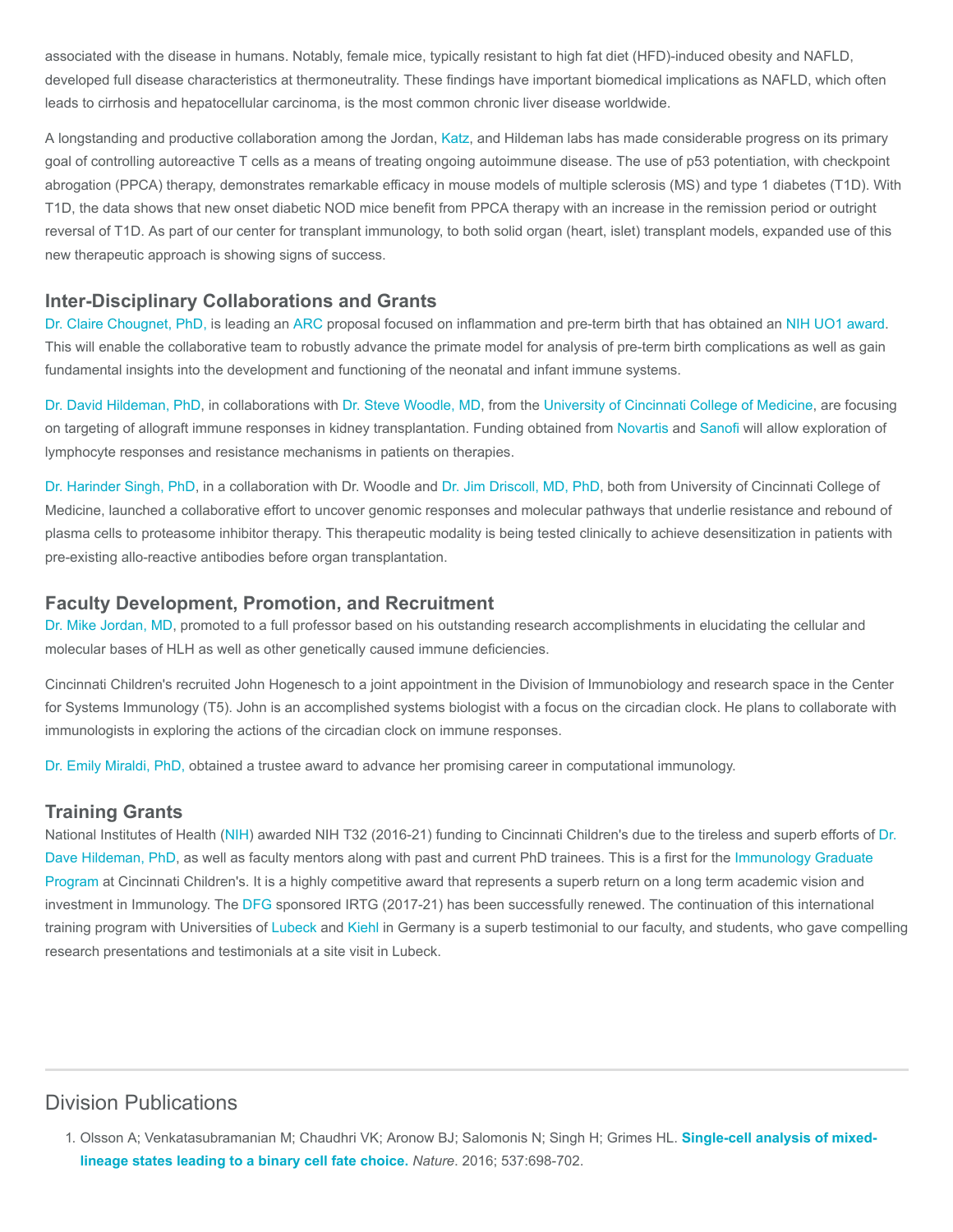associated with the disease in humans. Notably, female mice, typically resistant to high fat diet (HFD)-induced obesity and NAFLD, developed full disease characteristics at thermoneutrality. These findings have important biomedical implications as NAFLD, which often leads to cirrhosis and hepatocellular carcinoma, is the most common chronic liver disease worldwide.

A longstanding and productive collaboration among the Jordan, [Katz,](https://www.cincinnatichildrens.org/research/divisions/i/immunobiology/labs/katz) and Hildeman labs has made considerable progress on its primary goal of controlling autoreactive T cells as a means of treating ongoing autoimmune disease. The use of p53 potentiation, with checkpoint abrogation (PPCA) therapy, demonstrates remarkable efficacy in mouse models of multiple sclerosis (MS) and type 1 diabetes (T1D). With T1D, the data shows that new onset diabetic NOD mice benefit from PPCA therapy with an increase in the remission period or outright reversal of T1D. As part of our center for transplant immunology, to both solid organ (heart, islet) transplant models, expanded use of this new therapeutic approach is showing signs of success.

#### Inter-Disciplinary Collaborations and Grants

[Dr. Claire Chougnet, PhD,](https://www.cincinnatichildrens.org/bio/c/claire-chougnet) is leading an [ARC](https://www.arc.gov/grants) proposal focused on inflammation and pre-term birth that has obtained an [NIH UO1 award.](https://grants.nih.gov/grants/funding/ac_search_results.htm?text_curr=u01) This will enable the collaborative team to robustly advance the primate model for analysis of pre-term birth complications as well as gain fundamental insights into the development and functioning of the neonatal and infant immune systems.

[Dr. David Hildeman, PhD](https://www.cincinnatichildrens.org/bio/h/david-hildeman), in collaborations with [Dr. Steve Woodle, MD,](https://med.uc.edu/surgery/department-directory/transplantation/Index/Pubs/woodlees/) from the [University of Cincinnati College of Medicine](https://med.uc.edu/), are focusing on targeting of allograft immune responses in kidney transplantation. Funding obtained from [Novartis](https://www.novartis.com/) and [Sanofi](http://www.sanofi.us/l/us/en/index.jsp) will allow exploration of lymphocyte responses and resistance mechanisms in patients on therapies.

[Dr. Harinder Singh, PhD,](https://www.cincinnatichildrens.org/bio/s/harinder-singh) in a collaboration with Dr. Woodle and [Dr. Jim Driscoll, MD, PhD](https://med.uc.edu/intmed/divisions/hematology-oncology/hematology-oncology-directory/entire-directory/Index/Pubs/driscojs/), both from University of Cincinnati College of Medicine, launched a collaborative effort to uncover genomic responses and molecular pathways that underlie resistance and rebound of plasma cells to proteasome inhibitor therapy. This therapeutic modality is being tested clinically to achieve desensitization in patients with pre-existing allo-reactive antibodies before organ transplantation.

#### Faculty Development, Promotion, and Recruitment

[Dr. Mike Jordan, MD,](https://www.cincinnatichildrens.org/bio/j/michael-jordan) promoted to a full professor based on his outstanding research accomplishments in elucidating the cellular and molecular bases of HLH as well as other genetically caused immune deficiencies.

Cincinnati Children's recruited John Hogenesch to a joint appointment in the Division of Immunobiology and research space in the Center for Systems Immunology (T5). John is an accomplished systems biologist with a focus on the circadian clock. He plans to collaborate with immunologists in exploring the actions of the circadian clock on immune responses.

[Dr. Emily Miraldi, PhD,](https://www.cincinnatichildrens.org/bio/m/emily-miraldi) obtained a trustee award to advance her promising career in computational immunology.

#### Training Grants

[National Institutes of Health \(](https://www.cincinnatichildrens.org/bio/h/david-hildeman)[NI](https://www.nih.gov/)[H\) awarded NIH T32 \(2016-21\) funding to Cincinnati Children's due to the tireless and superb efforts of Dr.](https://www.cincinnatichildrens.org/bio/h/david-hildeman) [Dave Hildeman, PhD, as well as faculty mentors along with past and current PhD trainees. This is a first for the Immunology Graduate](https://www.cincinnatichildrens.org/education/research/immunobiology-grad) Program at Cincinnati Children's. It is a highly competitive award that represents a superb return on a long term academic vision and investment in Immunology. The [DFG](http://www.dfg.de/en/) sponsored IRTG (2017-21) has been successfully renewed. The continuation of this international training program with Universities of [Lubeck](https://www.uni-luebeck.de/en/university/university.html) and [Kiehl](http://www.uni-kiel.de/index-e.shtml) in Germany is a superb testimonial to our faculty, and students, who gave compelling research presentations and testimonials at a site visit in Lubeck.

## Division Publications

<sup>1.</sup> [Olsson A; Venkatasubramanian M; Chaudhri VK; Aronow BJ; Salomonis N; Singh H; Grimes HL.](https://www.ncbi.nlm.nih.gov/pubmed/27580035) Single-cell analysis of mixedlineage states leading to a binary cell fate choice. Nature. 2016; 537:698-702.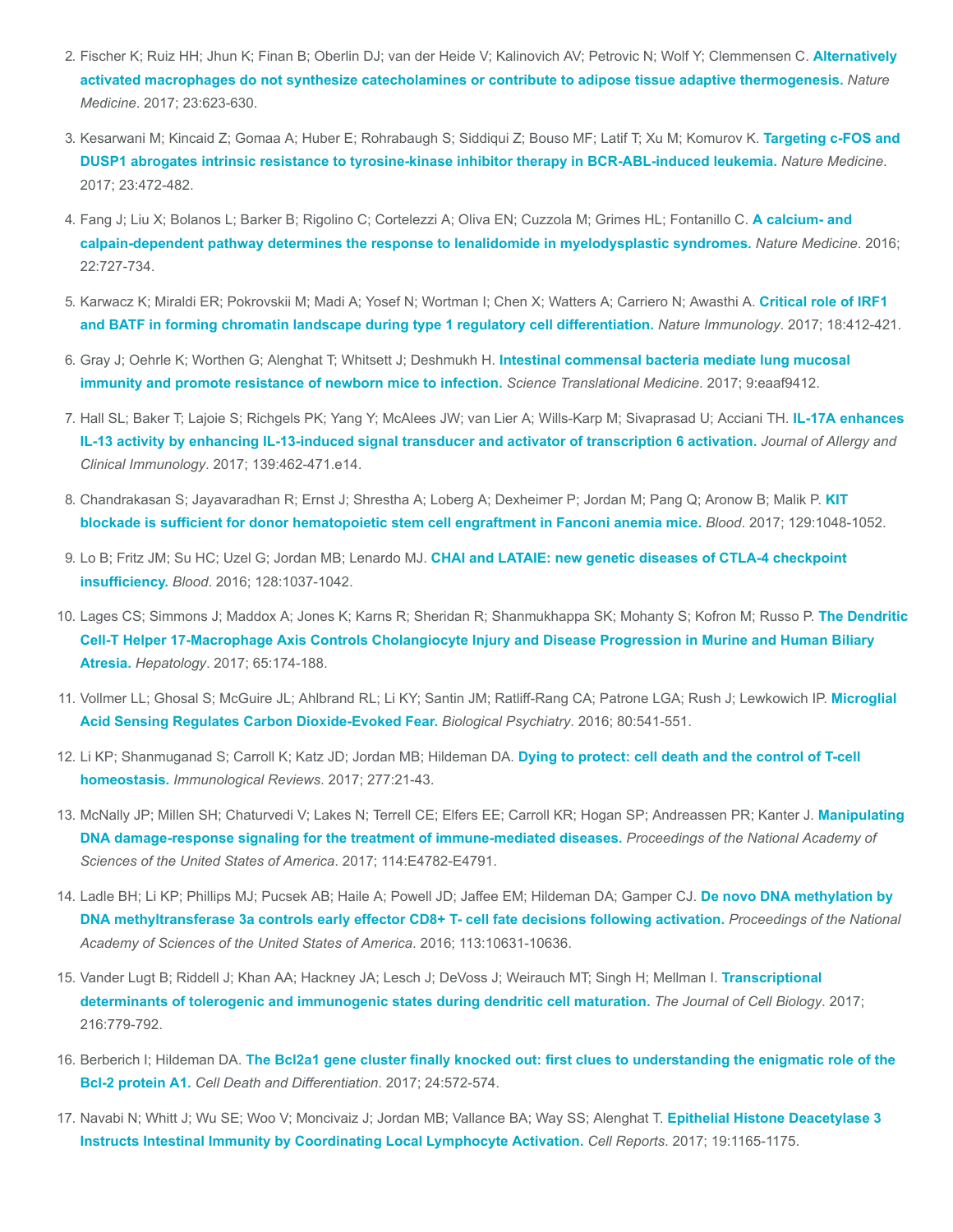- 2. [Fischer K; Ruiz HH; Jhun K; Finan B; Oberlin DJ; van der Heide V; Kalinovich AV; Petrovic N; Wolf Y; Clemmensen C.](https://www.ncbi.nlm.nih.gov/pubmed/28414329) Alternatively activated macrophages do not synthesize catecholamines or contribute to adipose tissue adaptive thermogenesis. Nature Medicine. 2017; 23:623-630.
- 3. [Kesarwani M; Kincaid Z; Gomaa A; Huber E; Rohrabaugh S; Siddiqui Z; Bouso MF; Latif T; Xu M; Komurov K.](https://www.ncbi.nlm.nih.gov/pubmed/28319094) Targeting c-FOS and DUSP1 abrogates intrinsic resistance to tyrosine-kinase inhibitor therapy in BCR-ABL-induced leukemia. Nature Medicine. 2017; 23:472-482.
- 4. [Fang J; Liu X; Bolanos L; Barker B; Rigolino C; Cortelezzi A; Oliva EN; Cuzzola M; Grimes HL; Fontanillo C.](https://www.ncbi.nlm.nih.gov/pubmed/27294874) A calcium- and calpain-dependent pathway determines the response to lenalidomide in myelodysplastic syndromes. Nature Medicine. 2016; 22:727-734.
- 5. [Karwacz K; Miraldi ER; Pokrovskii M; Madi A; Yosef N; Wortman I; Chen X; Watters A; Carriero N; Awasthi A.](https://www.ncbi.nlm.nih.gov/pubmed/28166218) Critical role of IRF1 and BATF in forming chromatin landscape during type 1 regulatory cell differentiation. Nature Immunology. 2017; 18:412-421.
- 6. [Gray J; Oehrle K; Worthen G; Alenghat T; Whitsett J; Deshmukh H.](https://www.ncbi.nlm.nih.gov/pubmed/28179507) Intestinal commensal bacteria mediate lung mucosal immunity and promote resistance of newborn mice to infection. Science Translational Medicine. 2017; 9:eaaf9412.
- 7. [Hall SL; Baker T; Lajoie S; Richgels PK; Yang Y; McAlees JW; van Lier A; Wills-Karp M; Sivaprasad U; Acciani TH.](https://www.ncbi.nlm.nih.gov/pubmed/27417023) IL-17A enhances IL-13 activity by enhancing IL-13-induced signal transducer and activator of transcription 6 activation. Journal of Allergy and Clinical Immunology. 2017; 139:462-471.e14.
- 8. [Chandrakasan S; Jayavaradhan R; Ernst J; Shrestha A; Loberg A; Dexheimer P; Jordan M; Pang Q; Aronow B; Malik P.](https://www.ncbi.nlm.nih.gov/pubmed/27998889) KIT blockade is sufficient for donor hematopoietic stem cell engraftment in Fanconi anemia mice. Blood. 2017; 129:1048-1052.
- 9. Lo B; Fritz JM; Su HC; Uzel G; Jordan MB; Lenardo MJ. [CHAI and LATAIE: new genetic diseases of CTLA-4 checkpoint](https://www.ncbi.nlm.nih.gov/pubmed/27418640) insufficiency. Blood. 2016; 128:1037-1042.
- 10. [Lages CS; Simmons J; Maddox A; Jones K; Karns R; Sheridan R; Shanmukhappa SK; Mohanty S; Kofron M; Russo P.](https://www.ncbi.nlm.nih.gov/pubmed/27641439) The Dendritic Cell-T Helper 17-Macrophage Axis Controls Cholangiocyte Injury and Disease Progression in Murine and Human Biliary Atresia. Hepatology. 2017; 65:174-188.
- 11. [Vollmer LL; Ghosal S; McGuire JL; Ahlbrand RL; Li KY; Santin JM; Ratliff-Rang CA; Patrone LGA; Rush J; Lewkowich IP.](https://www.ncbi.nlm.nih.gov/pubmed/27422366) Microglial Acid Sensing Regulates Carbon Dioxide-Evoked Fear. Biological Psychiatry. 2016; 80:541-551.
- 12. [Li KP; Shanmuganad S; Carroll K; Katz JD; Jordan MB; Hildeman DA.](https://www.ncbi.nlm.nih.gov/pubmed/28462527) Dying to protect: cell death and the control of T-cell homeostasis. Immunological Reviews. 2017; 277:21-43.
- 13. [McNally JP; Millen SH; Chaturvedi V; Lakes N; Terrell CE; Elfers EE; Carroll KR; Hogan SP; Andreassen PR; Kanter J.](https://www.ncbi.nlm.nih.gov/pubmed/28533414) Manipulating DNA damage-response signaling for the treatment of immune-mediated diseases. Proceedings of the National Academy of Sciences of the United States of America. 2017; 114:E4782-E4791.
- 14. [Ladle BH; Li KP; Phillips MJ; Pucsek AB; Haile A; Powell JD; Jaffee EM; Hildeman DA; Gamper CJ.](https://www.ncbi.nlm.nih.gov/pubmed/27582468) De novo DNA methylation by DNA methyltransferase 3a controls early effector CD8+ T- cell fate decisions following activation. Proceedings of the National Academy of Sciences of the United States of America. 2016; 113:10631-10636.
- 15. [Vander Lugt B; Riddell J; Khan AA; Hackney JA; Lesch J; DeVoss J; Weirauch MT; Singh H; Mellman I.](https://www.ncbi.nlm.nih.gov/pubmed/28130292) Transcriptional determinants of tolerogenic and immunogenic states during dendritic cell maturation. The Journal of Cell Biology. 2017; 216:779-792.
- 16. Berberich I; Hildeman DA. [The Bcl2a1 gene cluster finally knocked out: first clues to understanding the enigmatic role of the](https://www.ncbi.nlm.nih.gov/pubmed/28338657) Bcl-2 protein A1. Cell Death and Differentiation. 2017; 24:572-574.
- 17. [Navabi N; Whitt J; Wu SE; Woo V; Moncivaiz J; Jordan MB; Vallance BA; Way SS; Alenghat T.](https://www.ncbi.nlm.nih.gov/pubmed/28494866) Epithelial Histone Deacetylase 3 Instructs Intestinal Immunity by Coordinating Local Lymphocyte Activation. Cell Reports. 2017; 19:1165-1175.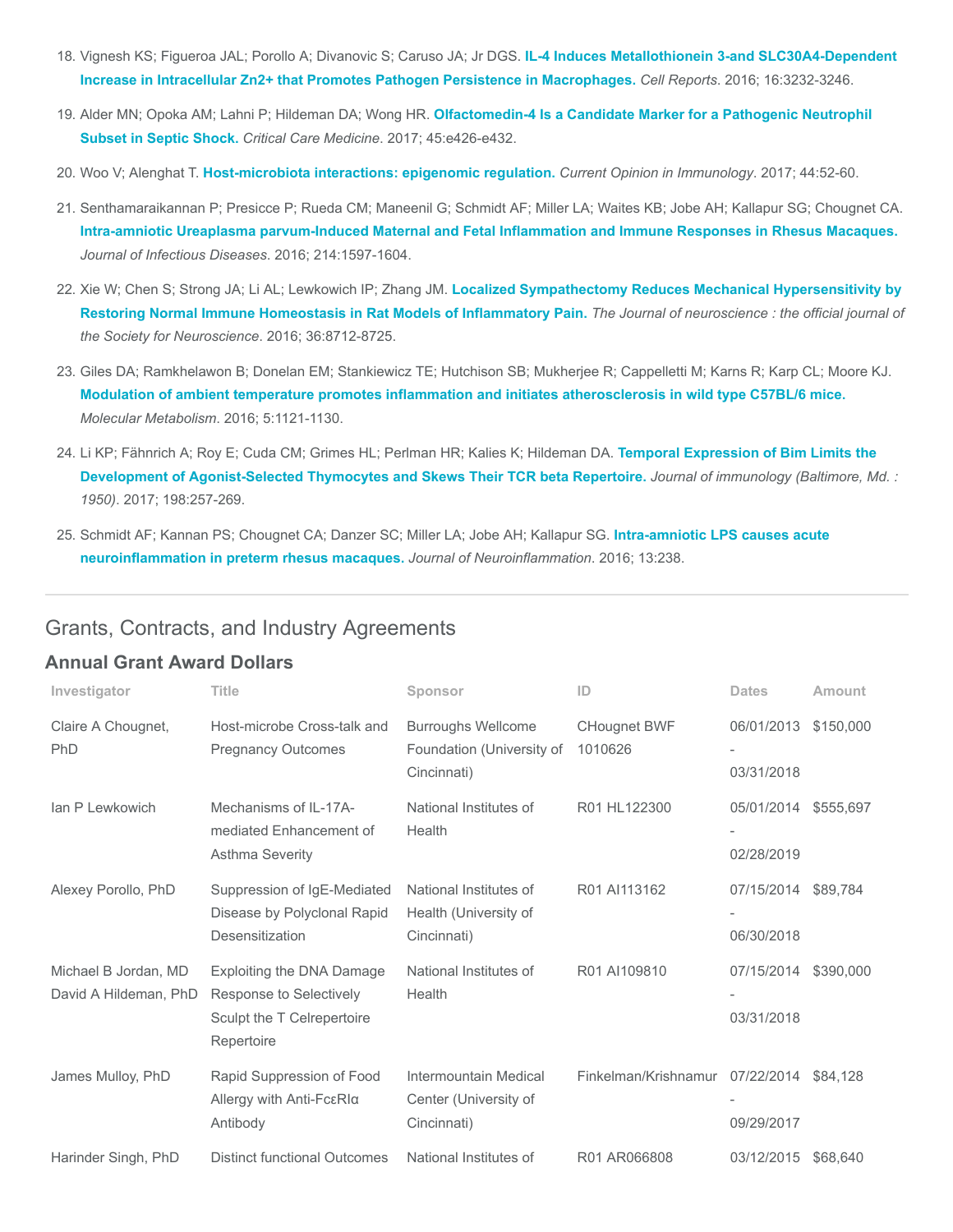- 18. Vignesh KS; Figueroa JAL; Porollo A; Divanovic S; Caruso JA; Jr DGS. IL-4 Induces Metallothionein 3-and SLC30A4-Dependent [Increase in Intracellular Zn2+ that Promotes Pathogen Persistence in Macrophages.](https://www.ncbi.nlm.nih.gov/pubmed/27653687) Cell Reports. 2016; 16:3232-3246.
- 19. Alder MN; Opoka AM; Lahni P; Hildeman DA; Wong HR. [Olfactomedin-4 Is a Candidate Marker for a Pathogenic Neutrophil](https://www.ncbi.nlm.nih.gov/pubmed/27635771) Subset in Septic Shock. Critical Care Medicine. 2017; 45:e426-e432.
- 20. Woo V; Alenghat T. [Host-microbiota interactions: epigenomic regulation.](https://www.ncbi.nlm.nih.gov/pubmed/28103497) Current Opinion in Immunology. 2017; 44:52-60.
- 21. Senthamaraikannan P; Presicce P; Rueda CM; Maneenil G; Schmidt AF; Miller LA; Waites KB; Jobe AH; Kallapur SG; Chougnet CA. [Intra-amniotic Ureaplasma parvum-Induced Maternal and Fetal Inflammation and Immune Responses in Rhesus Macaques.](https://www.ncbi.nlm.nih.gov/pubmed/27601620) Journal of Infectious Diseases. 2016; 214:1597-1604.
- 22. Xie W; Chen S; Strong JA; Li AL; Lewkowich IP; Zhang JM. Localized Sympathectomy Reduces Mechanical Hypersensitivity by [Restoring Normal Immune Homeostasis in Rat Models of Inflammatory Pain.](https://www.ncbi.nlm.nih.gov/pubmed/27535916) The Journal of neuroscience : the official journal of the Society for Neuroscience. 2016; 36:8712-8725.
- 23. Giles DA; Ramkhelawon B; Donelan EM; Stankiewicz TE; Hutchison SB; Mukherjee R; Cappelletti M; Karns R; Karp CL; Moore KJ. [Modulation of ambient temperature promotes inflammation and initiates atherosclerosis in wild type C57BL/6 mice.](https://www.ncbi.nlm.nih.gov/pubmed/27818938) Molecular Metabolism. 2016; 5:1121-1130.
- 24. [Li KP; Fähnrich A; Roy E; Cuda CM; Grimes HL; Perlman HR; Kalies K; Hildeman DA.](https://www.ncbi.nlm.nih.gov/pubmed/27852740) Temporal Expression of Bim Limits the Development of Agonist-Selected Thymocytes and Skews Their TCR beta Repertoire. Journal of immunology (Baltimore, Md. : 1950). 2017; 198:257-269.
- 25. [Schmidt AF; Kannan PS; Chougnet CA; Danzer SC; Miller LA; Jobe AH; Kallapur SG.](https://www.ncbi.nlm.nih.gov/pubmed/27596440) Intra-amniotic LPS causes acute neuroinflammation in preterm rhesus macaques. Journal of Neuroinflammation. 2016; 13:238.

### Grants, Contracts, and Industry Agreements

#### Annual Grant Award Dollars

| Investigator                                  | Title                                                                                            | Sponsor                                                               | ID                             | <b>Dates</b>             | <b>Amount</b> |
|-----------------------------------------------|--------------------------------------------------------------------------------------------------|-----------------------------------------------------------------------|--------------------------------|--------------------------|---------------|
| Claire A Chougnet,<br>PhD                     | Host-microbe Cross-talk and<br><b>Pregnancy Outcomes</b>                                         | <b>Burroughs Wellcome</b><br>Foundation (University of<br>Cincinnati) | <b>CHougnet BWF</b><br>1010626 | 06/01/2013<br>03/31/2018 | \$150,000     |
| Ian P Lewkowich                               | Mechanisms of IL-17A-<br>mediated Enhancement of<br><b>Asthma Severity</b>                       | National Institutes of<br>Health                                      | R01 HL122300                   | 05/01/2014<br>02/28/2019 | \$555,697     |
| Alexey Porollo, PhD                           | Suppression of IgE-Mediated<br>Disease by Polyclonal Rapid<br>Desensitization                    | National Institutes of<br>Health (University of<br>Cincinnati)        | R01 AI113162                   | 07/15/2014<br>06/30/2018 | \$89,784      |
| Michael B Jordan, MD<br>David A Hildeman, PhD | Exploiting the DNA Damage<br>Response to Selectively<br>Sculpt the T Celrepertoire<br>Repertoire | National Institutes of<br>Health                                      | R01 AI109810                   | 07/15/2014<br>03/31/2018 | \$390,000     |
| James Mulloy, PhD                             | Rapid Suppression of Food<br>Allergy with Anti-FcεRlα<br>Antibody                                | Intermountain Medical<br>Center (University of<br>Cincinnati)         | Finkelman/Krishnamur           | 07/22/2014<br>09/29/2017 | \$84,128      |
| Harinder Singh, PhD                           | <b>Distinct functional Outcomes</b>                                                              | National Institutes of                                                | R01 AR066808                   | 03/12/2015               | \$68,640      |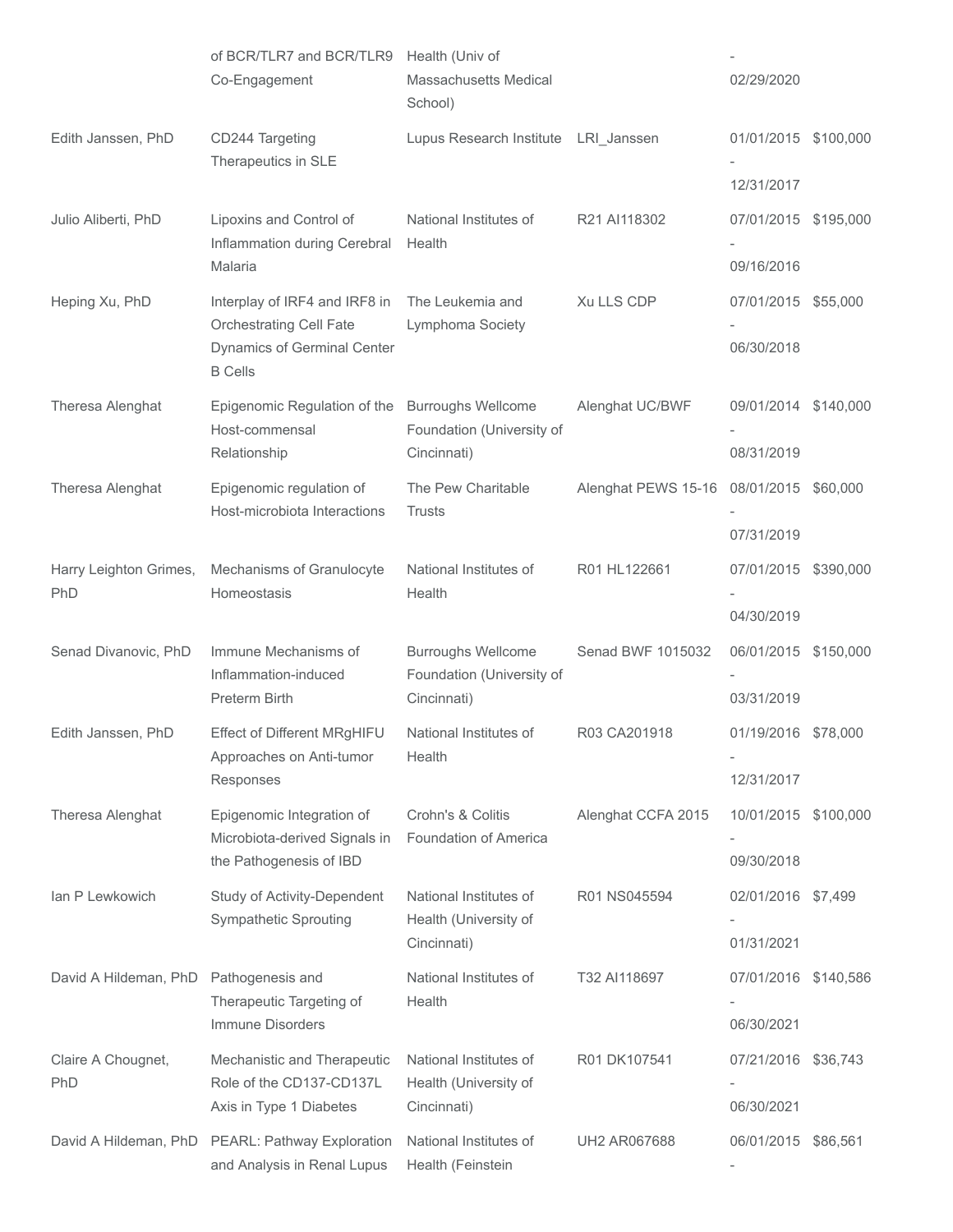|                           | of BCR/TLR7 and BCR/TLR9<br>Co-Engagement                                          | Health (Univ of<br><b>Massachusetts Medical</b><br>School)            |                     | 02/29/2020                         |           |
|---------------------------|------------------------------------------------------------------------------------|-----------------------------------------------------------------------|---------------------|------------------------------------|-----------|
| Edith Janssen, PhD        | CD244 Targeting<br>Therapeutics in SLE                                             | Lupus Research Institute LRI_Janssen                                  |                     | 01/01/2015 \$100,000               |           |
|                           |                                                                                    |                                                                       |                     | 12/31/2017                         |           |
| Julio Aliberti, PhD       | Lipoxins and Control of<br>Inflammation during Cerebral<br>Malaria                 | National Institutes of<br>Health                                      | R21 AI118302        | 07/01/2015 \$195,000<br>09/16/2016 |           |
| Heping Xu, PhD            | Interplay of IRF4 and IRF8 in                                                      | The Leukemia and                                                      | Xu LLS CDP          | 07/01/2015 \$55,000                |           |
|                           | <b>Orchestrating Cell Fate</b><br>Dynamics of Germinal Center<br><b>B</b> Cells    | Lymphoma Society                                                      |                     | 06/30/2018                         |           |
| Theresa Alenghat          | Epigenomic Regulation of the<br>Host-commensal                                     | <b>Burroughs Wellcome</b><br>Foundation (University of                | Alenghat UC/BWF     | 09/01/2014 \$140,000               |           |
|                           | Relationship                                                                       | Cincinnati)                                                           |                     | 08/31/2019                         |           |
| Theresa Alenghat          | Epigenomic regulation of<br>Host-microbiota Interactions                           | The Pew Charitable<br><b>Trusts</b>                                   | Alenghat PEWS 15-16 | 08/01/2015 \$60,000                |           |
|                           |                                                                                    |                                                                       |                     | 07/31/2019                         |           |
| Harry Leighton Grimes,    | Mechanisms of Granulocyte<br>Homeostasis                                           | National Institutes of<br>Health                                      | R01 HL122661        | 07/01/2015 \$390,000               |           |
| PhD                       |                                                                                    |                                                                       |                     | 04/30/2019                         |           |
| Senad Divanovic, PhD      | Immune Mechanisms of<br>Inflammation-induced<br>Preterm Birth                      | <b>Burroughs Wellcome</b><br>Foundation (University of<br>Cincinnati) | Senad BWF 1015032   | 06/01/2015 \$150,000               |           |
|                           |                                                                                    |                                                                       |                     | 03/31/2019                         |           |
| Edith Janssen, PhD        | Effect of Different MRgHIFU<br>Approaches on Anti-tumor                            | National Institutes of<br>Health                                      | R03 CA201918        | 01/19/2016 \$78,000                |           |
|                           | Responses                                                                          |                                                                       |                     | 12/31/2017                         |           |
| Theresa Alenghat          | Epigenomic Integration of<br>Microbiota-derived Signals in                         | Crohn's & Colitis<br>Foundation of America                            | Alenghat CCFA 2015  | 10/01/2015 \$100,000               |           |
|                           | the Pathogenesis of IBD                                                            |                                                                       |                     | 09/30/2018                         |           |
| lan P Lewkowich           | Study of Activity-Dependent<br><b>Sympathetic Sprouting</b>                        | National Institutes of<br>Health (University of                       | R01 NS045594        | 02/01/2016 \$7,499                 |           |
|                           |                                                                                    | Cincinnati)                                                           |                     | 01/31/2021                         |           |
| David A Hildeman, PhD     | Pathogenesis and<br>Therapeutic Targeting of<br>Immune Disorders                   | National Institutes of<br>Health                                      | T32 AI118697        | 07/01/2016<br>06/30/2021           | \$140,586 |
| Claire A Chougnet,<br>PhD | Mechanistic and Therapeutic<br>Role of the CD137-CD137L<br>Axis in Type 1 Diabetes | National Institutes of<br>Health (University of<br>Cincinnati)        | R01 DK107541        | 07/21/2016 \$36,743<br>06/30/2021  |           |
|                           |                                                                                    |                                                                       |                     |                                    |           |
| David A Hildeman, PhD     | PEARL: Pathway Exploration<br>and Analysis in Renal Lupus                          | National Institutes of<br>Health (Feinstein                           | <b>UH2 AR067688</b> | 06/01/2015                         | \$86,561  |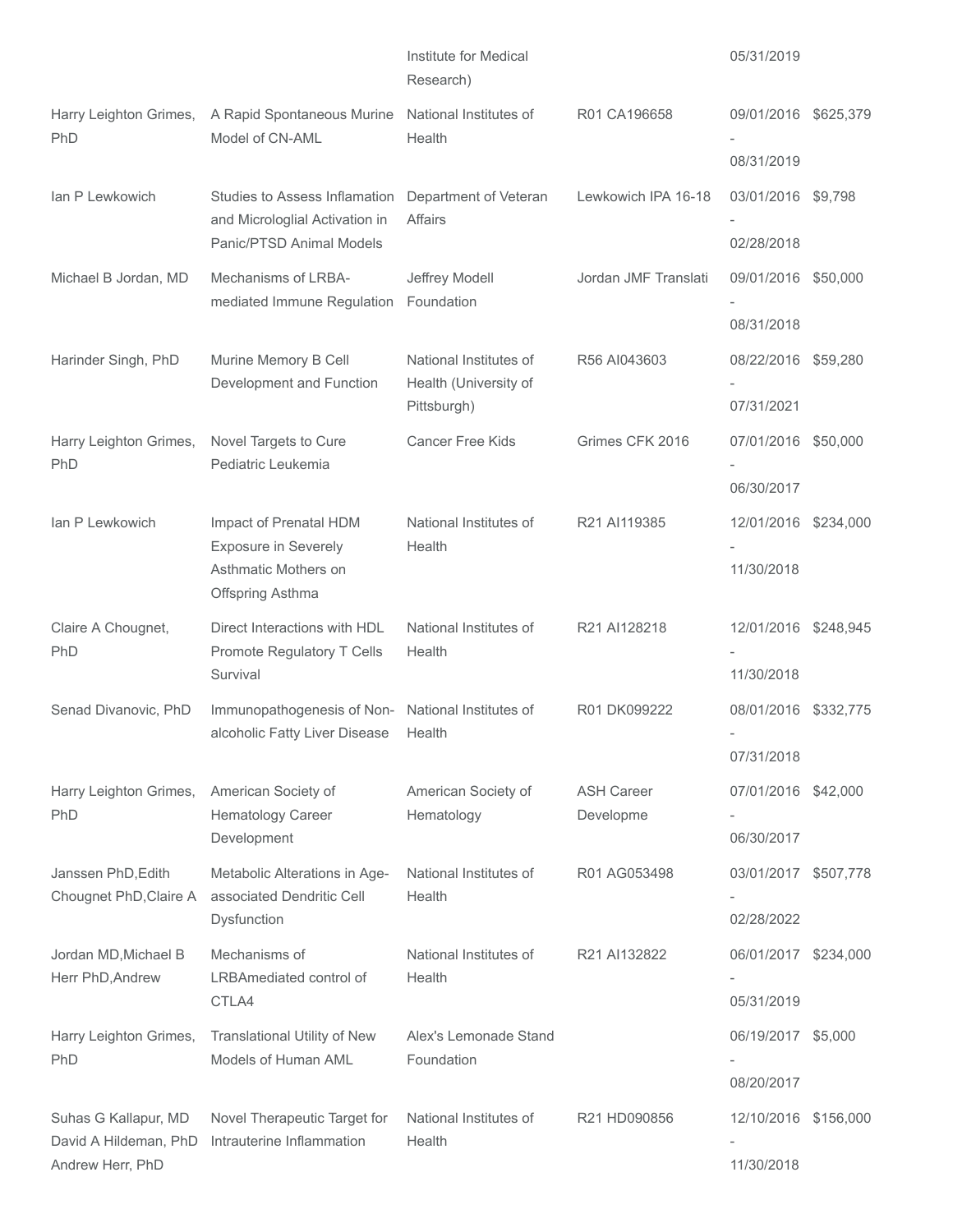|                                                                   |                                                                                             | Institute for Medical<br>Research)                             |                                | 05/31/2019                         |  |
|-------------------------------------------------------------------|---------------------------------------------------------------------------------------------|----------------------------------------------------------------|--------------------------------|------------------------------------|--|
| Harry Leighton Grimes,<br>PhD                                     | A Rapid Spontaneous Murine<br>Model of CN-AML                                               | National Institutes of<br>Health                               | R01 CA196658                   | 09/01/2016 \$625,379               |  |
|                                                                   |                                                                                             |                                                                |                                | 08/31/2019                         |  |
| lan P Lewkowich                                                   | Studies to Assess Inflamation<br>and Microloglial Activation in<br>Panic/PTSD Animal Models | Department of Veteran<br>Affairs                               | Lewkowich IPA 16-18            | 03/01/2016 \$9,798<br>02/28/2018   |  |
| Michael B Jordan, MD                                              | Mechanisms of LRBA-                                                                         | Jeffrey Modell                                                 | Jordan JMF Translati           | 09/01/2016 \$50,000                |  |
|                                                                   | mediated Immune Regulation                                                                  | Foundation                                                     |                                |                                    |  |
|                                                                   |                                                                                             |                                                                |                                | 08/31/2018                         |  |
| Harinder Singh, PhD                                               | Murine Memory B Cell<br>Development and Function                                            | National Institutes of<br>Health (University of<br>Pittsburgh) | R56 AI043603                   | 08/22/2016 \$59,280<br>07/31/2021  |  |
| Harry Leighton Grimes,<br>PhD                                     | Novel Targets to Cure<br>Pediatric Leukemia                                                 | Cancer Free Kids                                               | Grimes CFK 2016                | 07/01/2016 \$50,000                |  |
|                                                                   |                                                                                             |                                                                |                                | 06/30/2017                         |  |
| lan P Lewkowich                                                   | Impact of Prenatal HDM<br>Exposure in Severely<br>Asthmatic Mothers on<br>Offspring Asthma  | National Institutes of<br>Health                               | R21 AI119385                   | 12/01/2016 \$234,000               |  |
|                                                                   |                                                                                             |                                                                |                                | 11/30/2018                         |  |
| Claire A Chougnet,<br>PhD                                         | Direct Interactions with HDL<br>Promote Regulatory T Cells                                  | National Institutes of<br>Health                               | R21 AI128218                   | 12/01/2016 \$248,945               |  |
|                                                                   | Survival                                                                                    |                                                                |                                | 11/30/2018                         |  |
| Senad Divanovic, PhD                                              | Immunopathogenesis of Non-<br>alcoholic Fatty Liver Disease                                 | National Institutes of<br>Health                               | R01 DK099222                   | 08/01/2016 \$332,775               |  |
|                                                                   |                                                                                             |                                                                |                                | 07/31/2018                         |  |
| Harry Leighton Grimes,<br>PhD                                     | American Society of<br>Hematology Career                                                    | American Society of<br>Hematology                              | <b>ASH Career</b><br>Developme | 07/01/2016 \$42,000                |  |
|                                                                   | Development                                                                                 |                                                                |                                | 06/30/2017                         |  |
| Janssen PhD, Edith<br>Chougnet PhD, Claire A                      | Metabolic Alterations in Age-<br>associated Dendritic Cell                                  | National Institutes of<br>Health                               | R01 AG053498                   | 03/01/2017 \$507,778               |  |
|                                                                   | Dysfunction                                                                                 |                                                                |                                | 02/28/2022                         |  |
| Jordan MD, Michael B<br>Herr PhD, Andrew                          | Mechanisms of<br>LRBAmediated control of                                                    | National Institutes of<br>Health                               | R21 AI132822                   | 06/01/2017 \$234,000               |  |
|                                                                   | CTLA4                                                                                       |                                                                |                                | 05/31/2019                         |  |
| Harry Leighton Grimes,<br>PhD                                     | Translational Utility of New<br>Models of Human AML                                         | Alex's Lemonade Stand<br>Foundation                            |                                | 06/19/2017 \$5,000                 |  |
|                                                                   |                                                                                             |                                                                |                                | 08/20/2017                         |  |
| Suhas G Kallapur, MD<br>David A Hildeman, PhD<br>Andrew Herr, PhD | Novel Therapeutic Target for<br>Intrauterine Inflammation                                   | National Institutes of<br>Health                               | R21 HD090856                   | 12/10/2016 \$156,000<br>11/30/2018 |  |